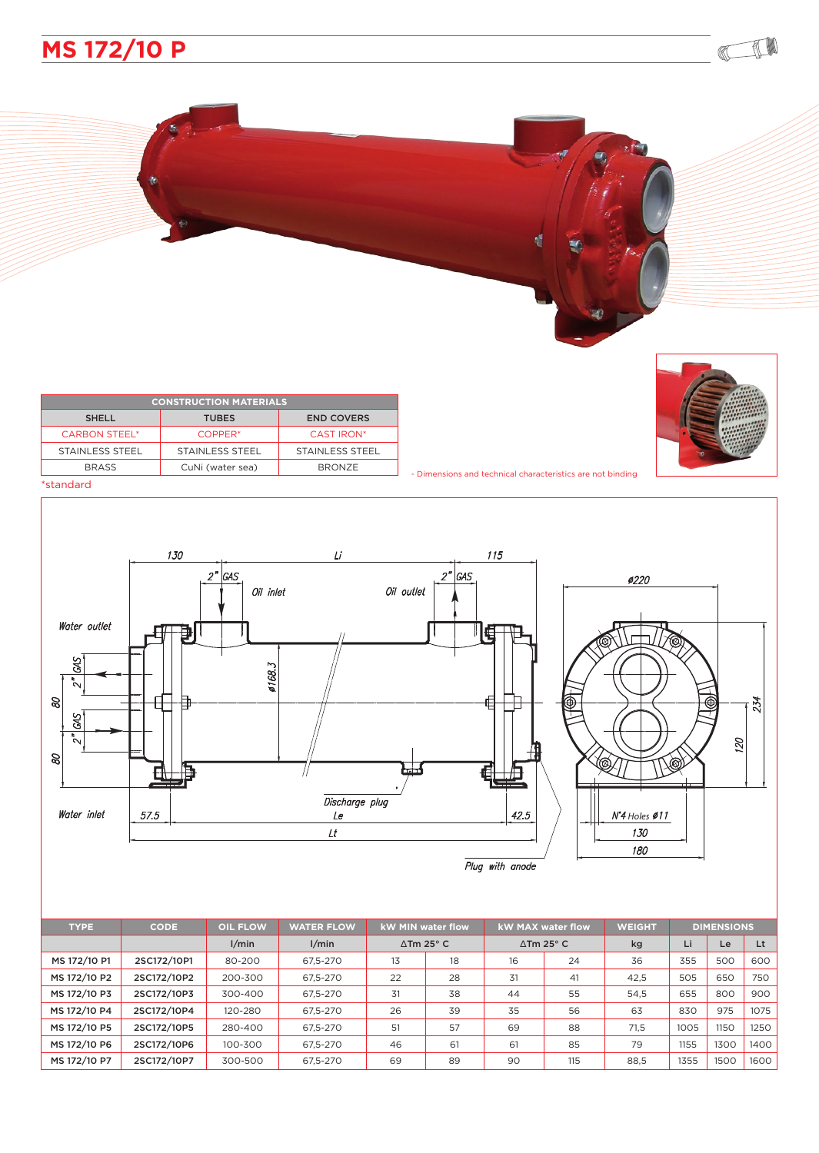

| <b>CONSTRUCTION MATERIALS</b> |                     |                   |  |  |  |  |  |
|-------------------------------|---------------------|-------------------|--|--|--|--|--|
| <b>SHELL</b>                  | <b>TUBES</b>        | <b>END COVERS</b> |  |  |  |  |  |
| <b>CARBON STEEL*</b>          | COPPER <sup>*</sup> | <b>CAST IRON*</b> |  |  |  |  |  |
| <b>STAINLESS STEEL</b>        | STAINLESS STEEL     | STAINLESS STEEL   |  |  |  |  |  |
| <b>BRASS</b>                  | CuNi (water sea)    | <b>BRONZE</b>     |  |  |  |  |  |
| *standard                     |                     |                   |  |  |  |  |  |



180

CO

## 130  $115$  $Li$  $2^{\prime}$ GAS  $2<sup>n</sup>$ GAS  $\mathcal{O}220$ Oil outlet Oil inlet Water outlet E € GAS ø168.3 ៓៶  $\mathcal{B}$ 234 ŧ SKS 120  $\tilde{\phantom{a}}$  $\mathcal{B}$  $\bigotimes$  $\mathbb{Q}$  $\Box$ Discharge plug Water inlet 57.5  ${\cal L}e$  $42.5$ *Holes*  $\mathcal{L}t$ 130

| <b>TYPE</b>  | <b>CODE</b> | <b>OIL FLOW</b> | <b>WATER FLOW</b> | <b>kW MIN water flow</b>   |    | <b>kW MAX water flow</b>       |     | <b>WEIGHT</b> | <b>DIMENSIONS</b> |      |      |
|--------------|-------------|-----------------|-------------------|----------------------------|----|--------------------------------|-----|---------------|-------------------|------|------|
|              |             | 1/min           | 1/min             | $\Delta$ Tm 25 $\degree$ C |    | $\triangle$ Tm 25 $^{\circ}$ C |     | kg            | Li                | Le   | Lt   |
| MS 172/10 P1 | 2SC172/10P1 | 80-200          | 67.5-270          | 13                         | 18 | 16                             | 24  | 36            | 355               | 500  | 600  |
| MS 172/10 P2 | 2SC172/10P2 | 200-300         | 67.5-270          | 22                         | 28 | 31                             | 41  | 42.5          | 505               | 650  | 750  |
| MS 172/10 P3 | 2SC172/10P3 | 300-400         | 67.5-270          | 31                         | 38 | 44                             | 55  | 54.5          | 655               | 800  | 900  |
| MS 172/10 P4 | 2SC172/10P4 | 120-280         | 67.5-270          | 26                         | 39 | 35                             | 56  | 63            | 830               | 975  | 1075 |
| MS 172/10 P5 | 2SC172/10P5 | 280-400         | 67.5-270          | 51                         | 57 | 69                             | 88  | 71,5          | 1005              | 1150 | 1250 |
| MS 172/10 P6 | 2SC172/10P6 | 100-300         | 67.5-270          | 46                         | 61 | 61                             | 85  | 79            | 1155              | 1300 | 1400 |
| MS 172/10 P7 | 2SC172/10P7 | 300-500         | 67.5-270          | 69                         | 89 | 90                             | 115 | 88.5          | 1355              | 1500 | 1600 |

Plug with anode